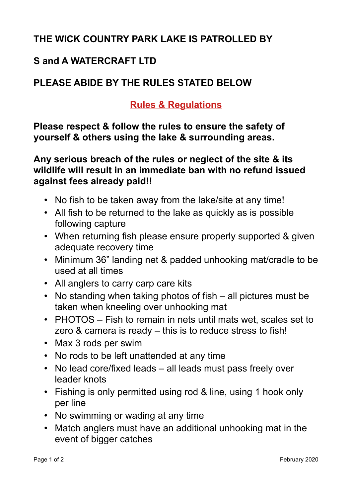## **THE WICK COUNTRY PARK LAKE IS PATROLLED BY**

## **S and A WATERCRAFT LTD**

## **PLEASE ABIDE BY THE RULES STATED BELOW**

## **Rules & Regulations**

**Please respect & follow the rules to ensure the safety of yourself & others using the lake & surrounding areas.**

**Any serious breach of the rules or neglect of the site & its wildlife will result in an immediate ban with no refund issued against fees already paid!!**

- No fish to be taken away from the lake/site at any time!
- All fish to be returned to the lake as quickly as is possible following capture
- When returning fish please ensure properly supported & given adequate recovery time
- Minimum 36" landing net & padded unhooking mat/cradle to be used at all times
- All anglers to carry carp care kits
- No standing when taking photos of fish all pictures must be taken when kneeling over unhooking mat
- PHOTOS Fish to remain in nets until mats wet, scales set to zero & camera is ready – this is to reduce stress to fish!
- Max 3 rods per swim
- No rods to be left unattended at any time
- No lead core/fixed leads all leads must pass freely over leader knots
- Fishing is only permitted using rod & line, using 1 hook only per line
- No swimming or wading at any time
- Match anglers must have an additional unhooking mat in the event of bigger catches